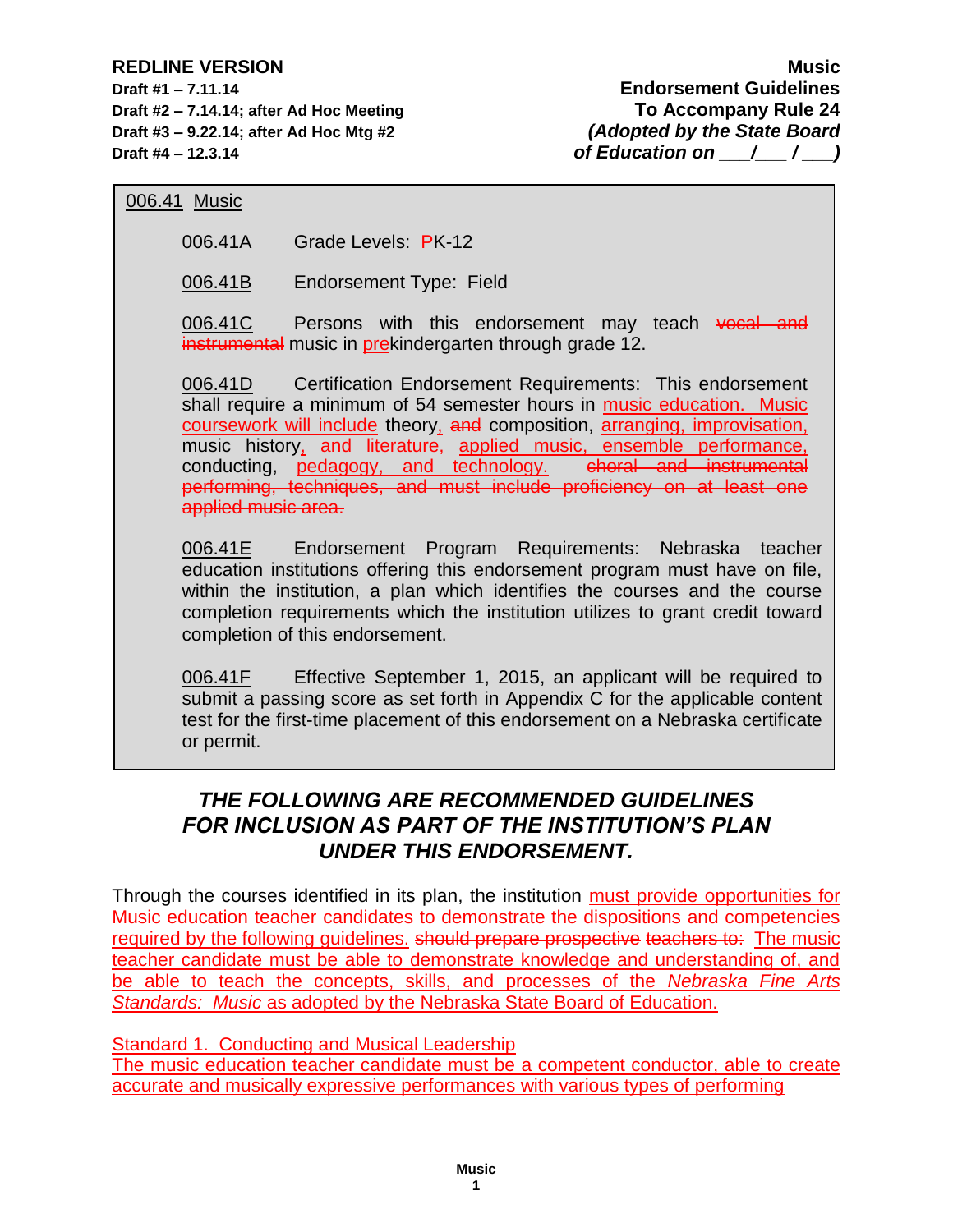**Draft #1 – 7.11.14 Endorsement Guidelines Draft #2 – 7.14.14; after Ad Hoc Meeting To Accompany Rule 24 Draft #3 – 9.22.14; after Ad Hoc Mtg #2** *(Adopted by the State Board* **Draft #4 – 12.3.14** *of Education on*  $\left(\begin{array}{cc} 1 & 0 \\ 0 & 1 \end{array}\right)$ 

## 006.41 Music

006.41A Grade Levels: PK-12

006.41B Endorsement Type: Field

006.41C Persons with this endorsement may teach vocal and instrumental music in prekindergarten through grade 12.

006.41D Certification Endorsement Requirements: This endorsement shall require a minimum of 54 semester hours in music education. Music coursework will include theory, and composition, arranging, improvisation, music history, and literature, applied music, ensemble performance, conducting, pedagogy, and technology. choral and instrumental performing, techniques, and must include proficiency on at least one applied music area.

006.41E Endorsement Program Requirements: Nebraska teacher education institutions offering this endorsement program must have on file, within the institution, a plan which identifies the courses and the course completion requirements which the institution utilizes to grant credit toward completion of this endorsement.

006.41F Effective September 1, 2015, an applicant will be required to submit a passing score as set forth in Appendix C for the applicable content test for the first-time placement of this endorsement on a Nebraska certificate or permit.

# *THE FOLLOWING ARE RECOMMENDED GUIDELINES FOR INCLUSION AS PART OF THE INSTITUTION'S PLAN UNDER THIS ENDORSEMENT.*

Through the courses identified in its plan, the institution must provide opportunities for Music education teacher candidates to demonstrate the dispositions and competencies required by the following quidelines. should prepare prospective teachers to: The music teacher candidate must be able to demonstrate knowledge and understanding of, and be able to teach the concepts, skills, and processes of the *Nebraska Fine Arts Standards: Music* as adopted by the Nebraska State Board of Education.

Standard 1. Conducting and Musical Leadership

The music education teacher candidate must be a competent conductor, able to create accurate and musically expressive performances with various types of performing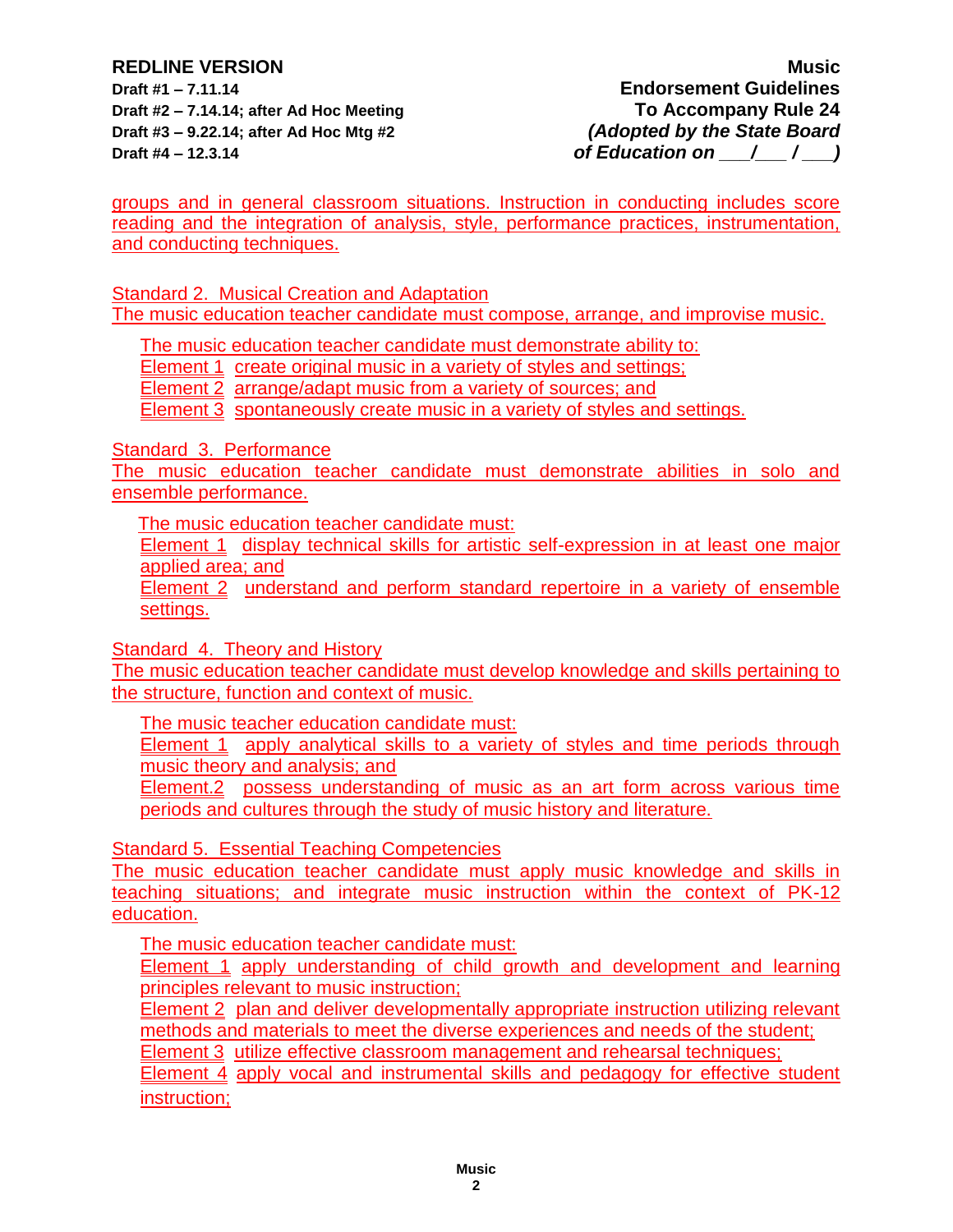**Draft #2 – 7.14.14; after Ad Hoc Meeting To Accompany Rule 24 Draft #3 – 9.22.14; after Ad Hoc Mtg #2** *(Adopted by the State Board* **Draft #4 – 12.3.14** *of Education on*  $\left(\begin{array}{cc} 1 & 0 \\ 1 & 0 \end{array}\right)$ 

**REDLINE VERSION Music Draft #1 – 7.11.14 Endorsement Guidelines** 

groups and in general classroom situations. Instruction in conducting includes score reading and the integration of analysis, style, performance practices, instrumentation, and conducting techniques.

Standard 2. Musical Creation and Adaptation The music education teacher candidate must compose, arrange, and improvise music.

The music education teacher candidate must demonstrate ability to:

Element 1 create original music in a variety of styles and settings;

Element 2 arrange/adapt music from a variety of sources; and

**Element 3** spontaneously create music in a variety of styles and settings.

Standard 3. Performance

The music education teacher candidate must demonstrate abilities in solo and ensemble performance.

The music education teacher candidate must:

Element 1 display technical skills for artistic self-expression in at least one major applied area; and

Element 2 understand and perform standard repertoire in a variety of ensemble settings.

Standard 4. Theory and History

The music education teacher candidate must develop knowledge and skills pertaining to the structure, function and context of music.

The music teacher education candidate must:

Element 1 apply analytical skills to a variety of styles and time periods through music theory and analysis; and

Element.2 possess understanding of music as an art form across various time periods and cultures through the study of music history and literature.

Standard 5. Essential Teaching Competencies

The music education teacher candidate must apply music knowledge and skills in teaching situations; and integrate music instruction within the context of PK-12 education.

The music education teacher candidate must:

**Element 1** apply understanding of child growth and development and learning principles relevant to music instruction;

Element 2 plan and deliver developmentally appropriate instruction utilizing relevant methods and materials to meet the diverse experiences and needs of the student;

Element 3 utilize effective classroom management and rehearsal techniques;

**Element 4** apply vocal and instrumental skills and pedagogy for effective student instruction;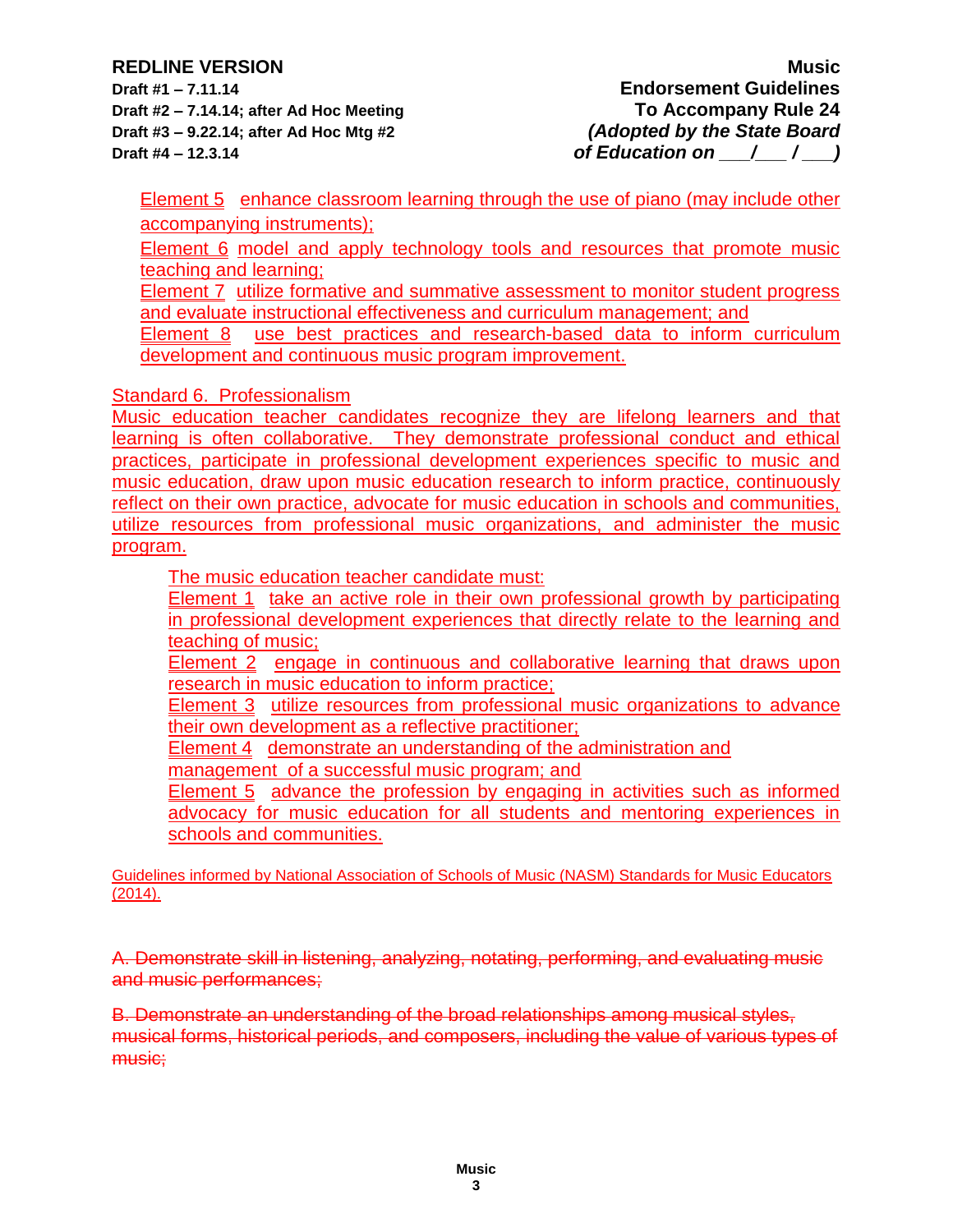**Draft #1 – 7.11.14 Endorsement Guidelines Draft #2 – 7.14.14; after Ad Hoc Meeting To Accompany Rule 24 Draft #3 – 9.22.14; after Ad Hoc Mtg #2** *(Adopted by the State Board* **Draft #4 – 12.3.14** *of Education on*  $\binom{1}{2}$ 

Element 5 enhance classroom learning through the use of piano (may include other accompanying instruments);

Element 6 model and apply technology tools and resources that promote music teaching and learning;

Element 7 utilize formative and summative assessment to monitor student progress and evaluate instructional effectiveness and curriculum management; and

Element 8 use best practices and research-based data to inform curriculum development and continuous music program improvement.

Standard 6. Professionalism

Music education teacher candidates recognize they are lifelong learners and that learning is often collaborative. They demonstrate professional conduct and ethical practices, participate in professional development experiences specific to music and music education, draw upon music education research to inform practice, continuously reflect on their own practice, advocate for music education in schools and communities, utilize resources from professional music organizations, and administer the music program.

The music education teacher candidate must:

Element 1 take an active role in their own professional growth by participating in professional development experiences that directly relate to the learning and teaching of music;

Element 2 engage in continuous and collaborative learning that draws upon research in music education to inform practice;

Element 3 utilize resources from professional music organizations to advance their own development as a reflective practitioner;

Element 4 demonstrate an understanding of the administration and

management of a successful music program; and

Element 5 advance the profession by engaging in activities such as informed advocacy for music education for all students and mentoring experiences in schools and communities.

Guidelines informed by National Association of Schools of Music (NASM) Standards for Music Educators (2014).

A. Demonstrate skill in listening, analyzing, notating, performing, and evaluating music and music performances;

B. Demonstrate an understanding of the broad relationships among musical styles, musical forms, historical periods, and composers, including the value of various types of music: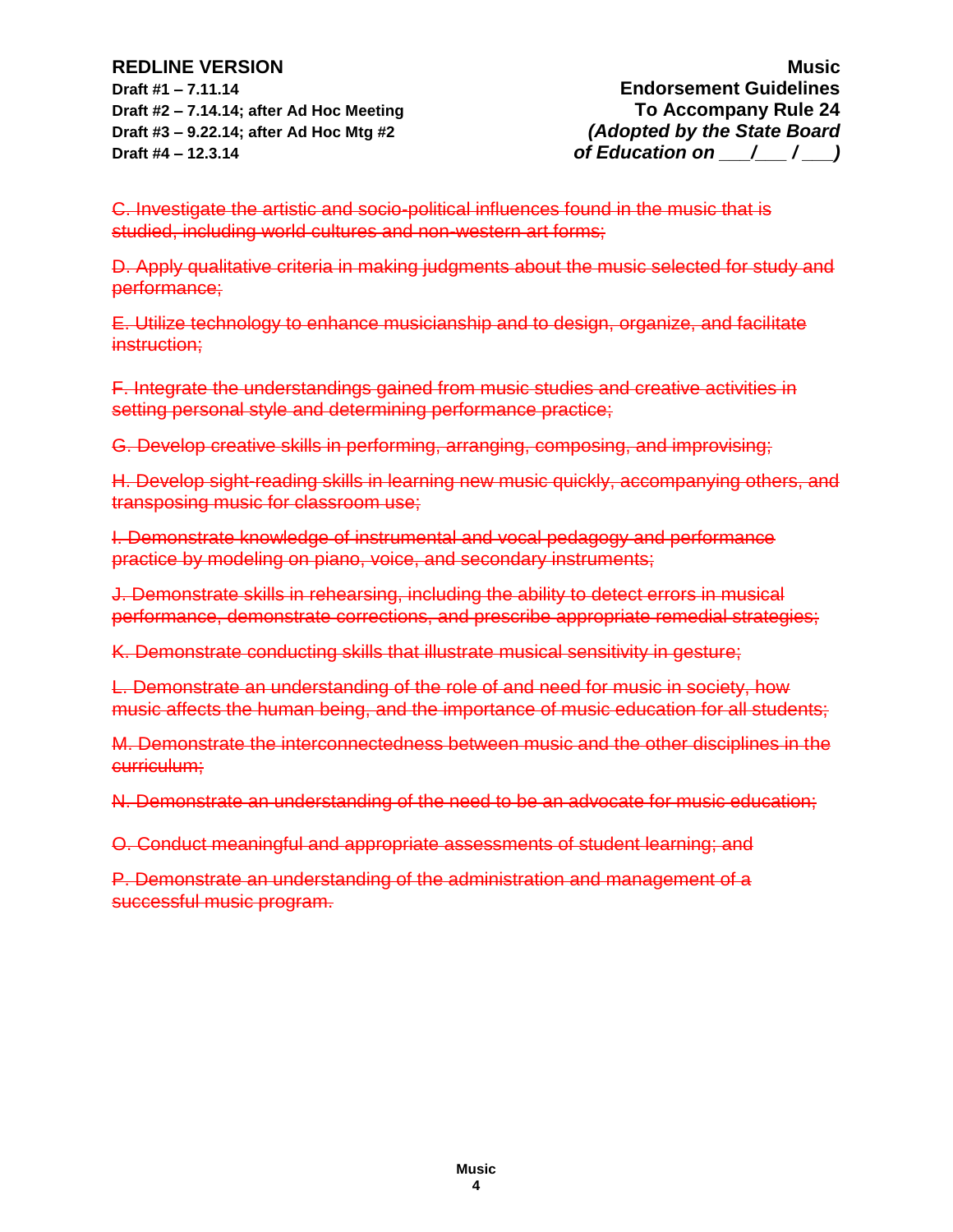**Draft #1 – 7.11.14 Endorsement Guidelines Draft #2 – 7.14.14; after Ad Hoc Meeting To Accompany Rule 24 Draft #3 – 9.22.14; after Ad Hoc Mtg #2** *(Adopted by the State Board* **Draft #4 – 12.3.14** *of Education on*  $\left(\begin{array}{cc} 1 & 0 \\ 0 & 1 \end{array}\right)$ 

C. Investigate the artistic and socio-political influences found in the music that is studied, including world cultures and non-western art forms;

D. Apply qualitative criteria in making judgments about the music selected for study and performance;

E. Utilize technology to enhance musicianship and to design, organize, and facilitate instruction;

F. Integrate the understandings gained from music studies and creative activities in setting personal style and determining performance practice;

G. Develop creative skills in performing, arranging, composing, and improvising;

H. Develop sight-reading skills in learning new music quickly, accompanying others, and transposing music for classroom use;

I. Demonstrate knowledge of instrumental and vocal pedagogy and performance practice by modeling on piano, voice, and secondary instruments;

J. Demonstrate skills in rehearsing, including the ability to detect errors in musical performance, demonstrate corrections, and prescribe appropriate remedial strategies;

K. Demonstrate conducting skills that illustrate musical sensitivity in gesture;

L. Demonstrate an understanding of the role of and need for music in society, how music affects the human being, and the importance of music education for all students;

M. Demonstrate the interconnectedness between music and the other disciplines in the curriculum;

N. Demonstrate an understanding of the need to be an advocate for music education;

O. Conduct meaningful and appropriate assessments of student learning; and

P. Demonstrate an understanding of the administration and management of a successful music program.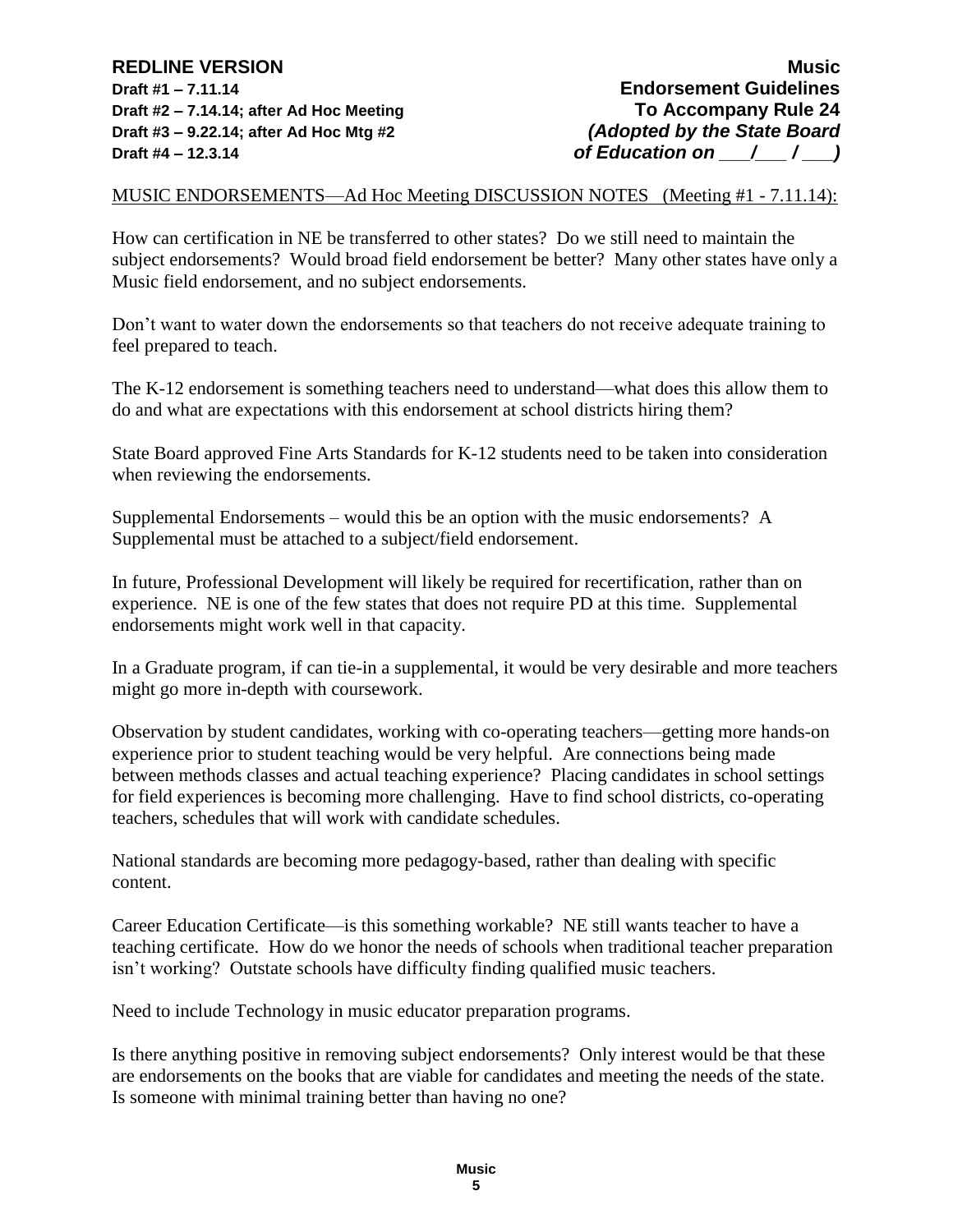MUSIC ENDORSEMENTS—Ad Hoc Meeting DISCUSSION NOTES (Meeting #1 - 7.11.14):

How can certification in NE be transferred to other states? Do we still need to maintain the subject endorsements? Would broad field endorsement be better? Many other states have only a Music field endorsement, and no subject endorsements.

Don't want to water down the endorsements so that teachers do not receive adequate training to feel prepared to teach.

The K-12 endorsement is something teachers need to understand—what does this allow them to do and what are expectations with this endorsement at school districts hiring them?

State Board approved Fine Arts Standards for K-12 students need to be taken into consideration when reviewing the endorsements.

Supplemental Endorsements – would this be an option with the music endorsements? A Supplemental must be attached to a subject/field endorsement.

In future, Professional Development will likely be required for recertification, rather than on experience. NE is one of the few states that does not require PD at this time. Supplemental endorsements might work well in that capacity.

In a Graduate program, if can tie-in a supplemental, it would be very desirable and more teachers might go more in-depth with coursework.

Observation by student candidates, working with co-operating teachers—getting more hands-on experience prior to student teaching would be very helpful. Are connections being made between methods classes and actual teaching experience? Placing candidates in school settings for field experiences is becoming more challenging. Have to find school districts, co-operating teachers, schedules that will work with candidate schedules.

National standards are becoming more pedagogy-based, rather than dealing with specific content.

Career Education Certificate—is this something workable? NE still wants teacher to have a teaching certificate. How do we honor the needs of schools when traditional teacher preparation isn't working? Outstate schools have difficulty finding qualified music teachers.

Need to include Technology in music educator preparation programs.

Is there anything positive in removing subject endorsements? Only interest would be that these are endorsements on the books that are viable for candidates and meeting the needs of the state. Is someone with minimal training better than having no one?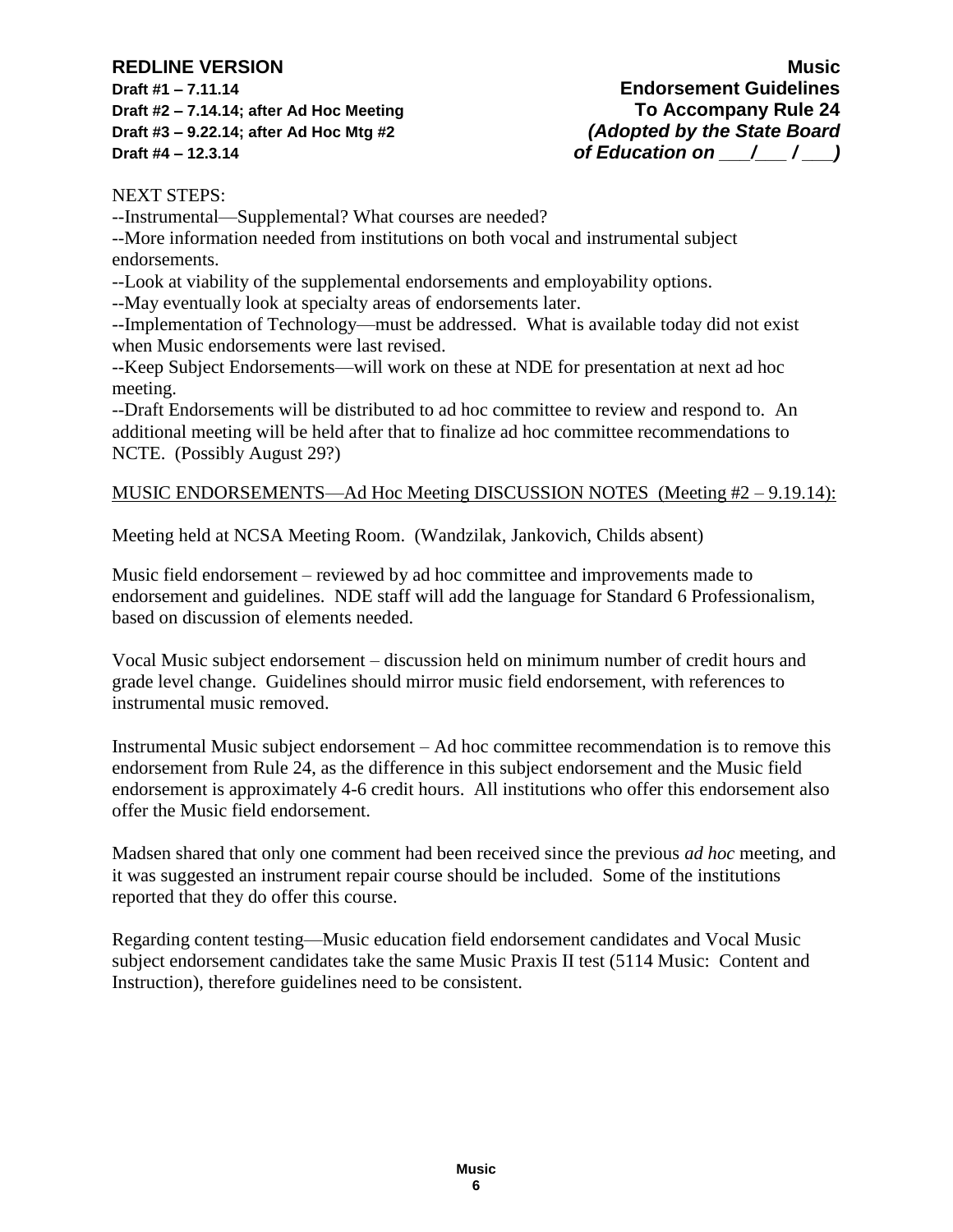**Draft #1 – 7.11.14 Endorsement Guidelines Draft #2 – 7.14.14; after Ad Hoc Meeting To Accompany Rule 24 Draft #3 – 9.22.14; after Ad Hoc Mtg #2** *(Adopted by the State Board* **Draft #4 – 12.3.14** *of Education on \_\_\_/\_\_\_/* **\_\_\_)** 

NEXT STEPS:

--Instrumental—Supplemental? What courses are needed?

--More information needed from institutions on both vocal and instrumental subject endorsements.

--Look at viability of the supplemental endorsements and employability options.

--May eventually look at specialty areas of endorsements later.

--Implementation of Technology—must be addressed. What is available today did not exist when Music endorsements were last revised.

--Keep Subject Endorsements—will work on these at NDE for presentation at next ad hoc meeting.

--Draft Endorsements will be distributed to ad hoc committee to review and respond to. An additional meeting will be held after that to finalize ad hoc committee recommendations to NCTE. (Possibly August 29?)

### MUSIC ENDORSEMENTS—Ad Hoc Meeting DISCUSSION NOTES (Meeting #2 – 9.19.14):

Meeting held at NCSA Meeting Room. (Wandzilak, Jankovich, Childs absent)

Music field endorsement – reviewed by ad hoc committee and improvements made to endorsement and guidelines. NDE staff will add the language for Standard 6 Professionalism, based on discussion of elements needed.

Vocal Music subject endorsement – discussion held on minimum number of credit hours and grade level change. Guidelines should mirror music field endorsement, with references to instrumental music removed.

Instrumental Music subject endorsement – Ad hoc committee recommendation is to remove this endorsement from Rule 24, as the difference in this subject endorsement and the Music field endorsement is approximately 4-6 credit hours. All institutions who offer this endorsement also offer the Music field endorsement.

Madsen shared that only one comment had been received since the previous *ad hoc* meeting, and it was suggested an instrument repair course should be included. Some of the institutions reported that they do offer this course.

Regarding content testing—Music education field endorsement candidates and Vocal Music subject endorsement candidates take the same Music Praxis II test (5114 Music: Content and Instruction), therefore guidelines need to be consistent.